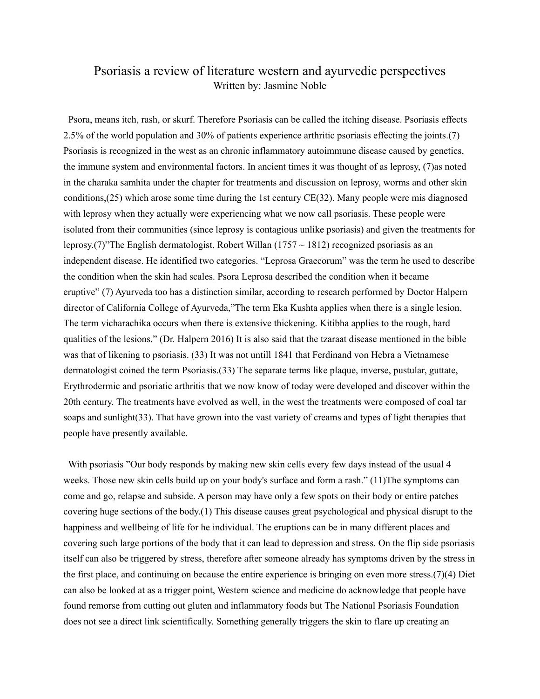# Psoriasis a review of literature western and ayurvedic perspectives Written by: Jasmine Noble

 Psora, means itch, rash, or skurf. Therefore Psoriasis can be called the itching disease. Psoriasis effects 2.5% of the world population and 30% of patients experience arthritic psoriasis effecting the joints.(7) Psoriasis is recognized in the west as an chronic inflammatory autoimmune disease caused by genetics, the immune system and environmental factors. In ancient times it was thought of as leprosy, (7)as noted in the charaka samhita under the chapter for treatments and discussion on leprosy, worms and other skin conditions,(25) which arose some time during the 1st century CE(32). Many people were mis diagnosed with leprosy when they actually were experiencing what we now call psoriasis. These people were isolated from their communities (since leprosy is contagious unlike psoriasis) and given the treatments for leprosy.(7)"The English dermatologist, Robert Willan (1757  $\sim$  1812) recognized psoriasis as an independent disease. He identified two categories. "Leprosa Graecorum" was the term he used to describe the condition when the skin had scales. Psora Leprosa described the condition when it became eruptive" (7) Ayurveda too has a distinction similar, according to research performed by Doctor Halpern director of California College of Ayurveda,"The term Eka Kushta applies when there is a single lesion. The term vicharachika occurs when there is extensive thickening. Kitibha applies to the rough, hard qualities of the lesions." (Dr. Halpern 2016) It is also said that the tzaraat disease mentioned in the bible was that of likening to psoriasis. (33) It was not untill 1841 that Ferdinand von Hebra a Vietnamese dermatologist coined the term Psoriasis.(33) The separate terms like plaque, inverse, pustular, guttate, Erythrodermic and psoriatic arthritis that we now know of today were developed and discover within the 20th century. The treatments have evolved as well, in the west the treatments were composed of coal tar soaps and sunlight(33). That have grown into the vast variety of creams and types of light therapies that people have presently available.

 With psoriasis "Our body responds by making new skin cells every few days instead of the usual 4 weeks. Those new skin cells build up on your body's surface and form a rash." (11) The symptoms can come and go, relapse and subside. A person may have only a few spots on their body or entire patches covering huge sections of the body.(1) This disease causes great psychological and physical disrupt to the happiness and wellbeing of life for he individual. The eruptions can be in many different places and covering such large portions of the body that it can lead to depression and stress. On the flip side psoriasis itself can also be triggered by stress, therefore after someone already has symptoms driven by the stress in the first place, and continuing on because the entire experience is bringing on even more stress.(7)(4) Diet can also be looked at as a trigger point, Western science and medicine do acknowledge that people have found remorse from cutting out gluten and inflammatory foods but The National Psoriasis Foundation does not see a direct link scientifically. Something generally triggers the skin to flare up creating an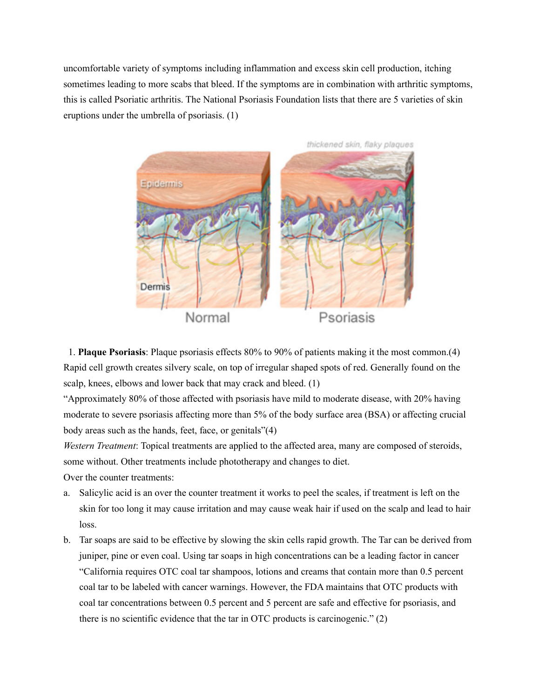uncomfortable variety of symptoms including inflammation and excess skin cell production, itching sometimes leading to more scabs that bleed. If the symptoms are in combination with arthritic symptoms, this is called Psoriatic arthritis. The National Psoriasis Foundation lists that there are 5 varieties of skin eruptions under the umbrella of psoriasis. (1)



 1. **Plaque Psoriasis**: Plaque psoriasis effects 80% to 90% of patients making it the most common.(4) Rapid cell growth creates silvery scale, on top of irregular shaped spots of red. Generally found on the scalp, knees, elbows and lower back that may crack and bleed. (1)

"Approximately 80% of those affected with psoriasis have mild to moderate disease, with 20% having moderate to severe psoriasis affecting more than 5% of the body surface area (BSA) or affecting crucial body areas such as the hands, feet, face, or genitals"(4)

*Western Treatment*: Topical treatments are applied to the affected area, many are composed of steroids, some without. Other treatments include phototherapy and changes to diet.

Over the counter treatments:

- a. Salicylic acid is an over the counter treatment it works to peel the scales, if treatment is left on the skin for too long it may cause irritation and may cause weak hair if used on the scalp and lead to hair loss.
- b. Tar soaps are said to be effective by slowing the skin cells rapid growth. The Tar can be derived from juniper, pine or even coal. Using tar soaps in high concentrations can be a leading factor in cancer "California requires OTC coal tar shampoos, lotions and creams that contain more than 0.5 percent coal tar to be labeled with cancer warnings. However, the FDA maintains that OTC products with coal tar concentrations between 0.5 percent and 5 percent are safe and effective for psoriasis, and there is no scientific evidence that the tar in OTC products is carcinogenic." (2)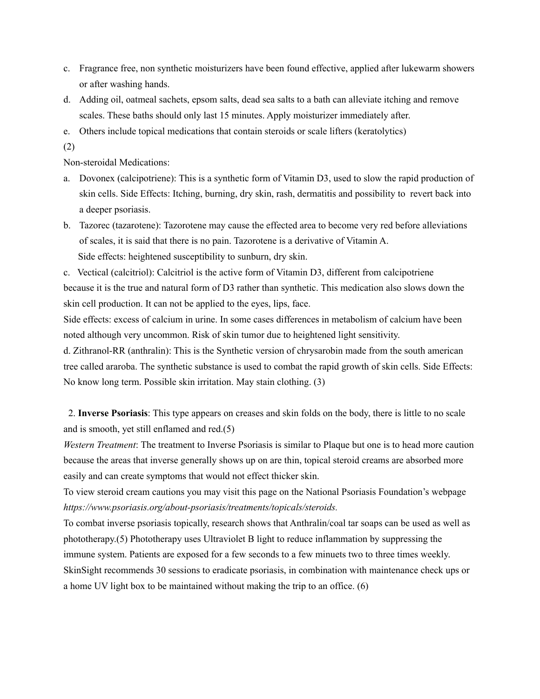- c. Fragrance free, non synthetic moisturizers have been found effective, applied after lukewarm showers or after washing hands.
- d. Adding oil, oatmeal sachets, epsom salts, dead sea salts to a bath can alleviate itching and remove scales. These baths should only last 15 minutes. Apply moisturizer immediately after.
- e. Others include topical medications that contain steroids or scale lifters (keratolytics)
- (2)

Non-steroidal Medications:

- a. Dovonex (calcipotriene): This is a synthetic form of Vitamin D3, used to slow the rapid production of skin cells. Side Effects: Itching, burning, dry skin, rash, dermatitis and possibility to revert back into a deeper psoriasis.
- b. Tazorec (tazarotene): Tazorotene may cause the effected area to become very red before alleviations of scales, it is said that there is no pain. Tazorotene is a derivative of Vitamin A. Side effects: heightened susceptibility to sunburn, dry skin.

c. Vectical (calcitriol): Calcitriol is the active form of Vitamin D3, different from calcipotriene because it is the true and natural form of D3 rather than synthetic. This medication also slows down the skin cell production. It can not be applied to the eyes, lips, face.

Side effects: excess of calcium in urine. In some cases differences in metabolism of calcium have been noted although very uncommon. Risk of skin tumor due to heightened light sensitivity.

d. Zithranol-RR (anthralin): This is the Synthetic version of chrysarobin made from the south american tree called araroba. The synthetic substance is used to combat the rapid growth of skin cells. Side Effects: No know long term. Possible skin irritation. May stain clothing. (3)

 2. **Inverse Psoriasis**: This type appears on creases and skin folds on the body, there is little to no scale and is smooth, yet still enflamed and red.(5)

*Western Treatment*: The treatment to Inverse Psoriasis is similar to Plaque but one is to head more caution because the areas that inverse generally shows up on are thin, topical steroid creams are absorbed more easily and can create symptoms that would not effect thicker skin.

To view steroid cream cautions you may visit this page on the National Psoriasis Foundation's webpage *<https://www.psoriasis.org/about-psoriasis/treatments/topicals/steroids>.* 

To combat inverse psoriasis topically, research shows that Anthralin/coal tar soaps can be used as well as phototherapy.(5) Phototherapy uses Ultraviolet B light to reduce inflammation by suppressing the immune system. Patients are exposed for a few seconds to a few minuets two to three times weekly. SkinSight recommends 30 sessions to eradicate psoriasis, in combination with maintenance check ups or a home UV light box to be maintained without making the trip to an office. (6)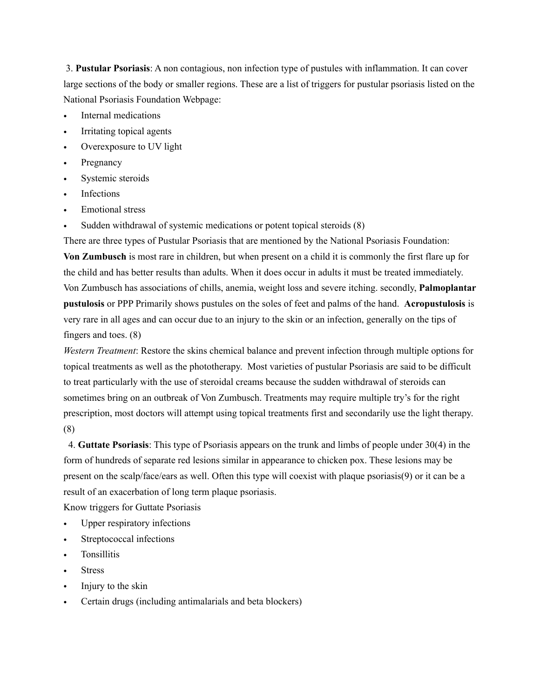3. **Pustular Psoriasis**: A non contagious, non infection type of pustules with inflammation. It can cover large sections of the body or smaller regions. These are a list of triggers for pustular psoriasis listed on the National Psoriasis Foundation Webpage:

- Internal medications
- Irritating topical agents
- Overexposure to UV light
- **Pregnancy**
- Systemic steroids
- **Infections**
- Emotional stress
- Sudden withdrawal of systemic medications or potent topical steroids (8)

There are three types of Pustular Psoriasis that are mentioned by the National Psoriasis Foundation: **Von Zumbusch** is most rare in children, but when present on a child it is commonly the first flare up for the child and has better results than adults. When it does occur in adults it must be treated immediately. Von Zumbusch has associations of chills, anemia, weight loss and severe itching. secondly, **Palmoplantar pustulosis** or PPP Primarily shows pustules on the soles of feet and palms of the hand. **Acropustulosis** is very rare in all ages and can occur due to an injury to the skin or an infection, generally on the tips of fingers and toes. (8)

*Western Treatment*: Restore the skins chemical balance and prevent infection through multiple options for topical treatments as well as the phototherapy. Most varieties of pustular Psoriasis are said to be difficult to treat particularly with the use of steroidal creams because the sudden withdrawal of steroids can sometimes bring on an outbreak of Von Zumbusch. Treatments may require multiple try's for the right prescription, most doctors will attempt using topical treatments first and secondarily use the light therapy. (8)

 4. **Guttate Psoriasis**: This type of Psoriasis appears on the trunk and limbs of people under 30(4) in the form of hundreds of separate red lesions similar in appearance to chicken pox. These lesions may be present on the scalp/face/ears as well. Often this type will coexist with plaque psoriasis(9) or it can be a result of an exacerbation of long term plaque psoriasis.

Know triggers for Guttate Psoriasis

- Upper respiratory infections
- Streptococcal infections
- Tonsillitis
- **Stress**
- Injury to the skin
- Certain drugs (including antimalarials and beta blockers)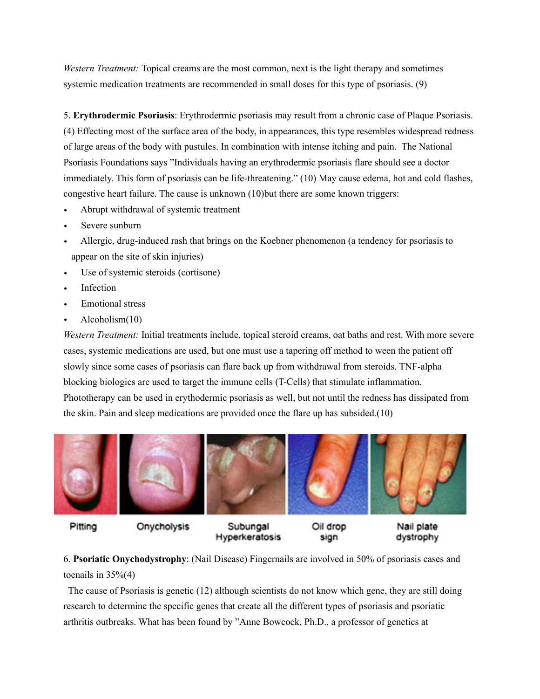*Western Treatment:* Topical creams are the most common, next is the light therapy and sometimes systemic medication treatments are recommended in small doses for this type of psoriasis. (9)

5. **Erythrodermic Psoriasis**: Erythrodermic psoriasis may result from a chronic case of Plaque Psoriasis. (4) Effecting most of the surface area of the body, in appearances, this type resembles widespread redness of large areas of the body with pustules. In combination with intense itching and pain. The National Psoriasis Foundations says "Individuals having an erythrodermic psoriasis flare should see a doctor immediately. This form of psoriasis can be life-threatening." (10) May cause edema, hot and cold flashes, congestive heart failure. The cause is unknown (10)but there are some known triggers:

- *•* Abrupt withdrawal of systemic treatment
- *•* Severe sunburn
- Allergic, drug-induced rash that brings on the Koebner phenomenon (a tendency for psoriasis to appear on the site of skin injuries)
- Use of systemic steroids (cortisone)
- *•* Infection
- *•* Emotional stress
- *•* Alcoholism(10)

*Western Treatment:* Initial treatments include, topical steroid creams, oat baths and rest. With more severe cases, systemic medications are used, but one must use a tapering off method to ween the patient off slowly since some cases of psoriasis can flare back up from withdrawal from steroids. TNF-alpha blocking biologics are used to target the immune cells (T-Cells) that stimulate inflammation. Phototherapy can be used in erythodermic psoriasis as well, but not until the redness has dissipated from the skin. Pain and sleep medications are provided once the flare up has subsided.(10)



Pitting

Onycholysis

Subungal Hyperkeratosis

Oil drop sign

Nail plate dystrophy

6. **Psoriatic Onychodystrophy**: (Nail Disease) Fingernails are involved in 50% of psoriasis cases and toenails in  $35\%(4)$ 

 The cause of Psoriasis is genetic (12) although scientists do not know which gene, they are still doing research to determine the specific genes that create all the different types of psoriasis and psoriatic arthritis outbreaks. What has been found by "Anne Bowcock, Ph.D., a professor of genetics at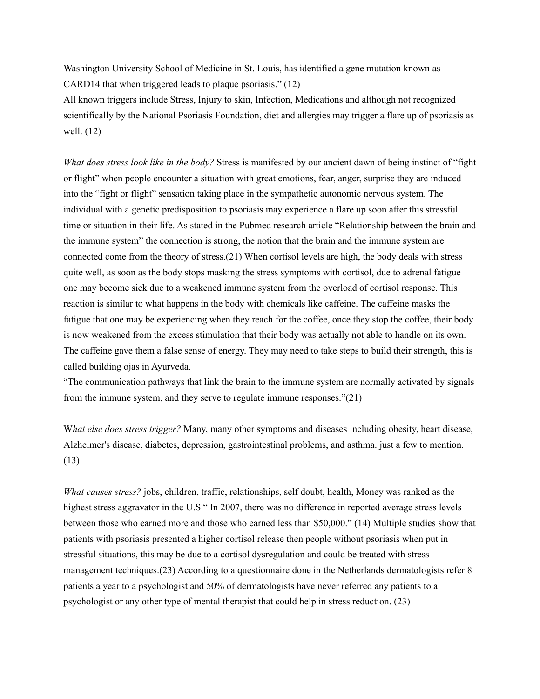Washington University School of Medicine in St. Louis, has identified a gene mutation known as CARD14 that when triggered leads to plaque psoriasis." (12)

All known triggers include Stress, Injury to skin, Infection, Medications and although not recognized scientifically by the National Psoriasis Foundation, diet and allergies may trigger a flare up of psoriasis as well. (12)

*What does stress look like in the body?* Stress is manifested by our ancient dawn of being instinct of "fight or flight" when people encounter a situation with great emotions, fear, anger, surprise they are induced into the "fight or flight" sensation taking place in the sympathetic autonomic nervous system. The individual with a genetic predisposition to psoriasis may experience a flare up soon after this stressful time or situation in their life. As stated in the Pubmed research article "Relationship between the brain and the immune system" the connection is strong, the notion that the brain and the immune system are connected come from the theory of stress.(21) When cortisol levels are high, the body deals with stress quite well, as soon as the body stops masking the stress symptoms with cortisol, due to adrenal fatigue one may become sick due to a weakened immune system from the overload of cortisol response. This reaction is similar to what happens in the body with chemicals like caffeine. The caffeine masks the fatigue that one may be experiencing when they reach for the coffee, once they stop the coffee, their body is now weakened from the excess stimulation that their body was actually not able to handle on its own. The caffeine gave them a false sense of energy. They may need to take steps to build their strength, this is called building ojas in Ayurveda.

"The communication pathways that link the brain to the immune system are normally activated by signals from the immune system, and they serve to regulate immune responses."(21)

W*hat else does stress trigger?* Many, many other symptoms and diseases including [obesity,](http://www.webmd.com/diet/am-i-obese) [heart disease,](http://www.webmd.com/heart-disease/default.htm) [Alzheimer's disease](http://www.webmd.com/alzheimers/default.htm), [diabetes,](http://www.webmd.com/diabetes/default.htm) [depression](http://www.webmd.com/depression/default.htm), gastrointestinal problems, and [asthma.](http://www.webmd.com/asthma/default.htm) just a few to mention. (13)

*What causes stress?* jobs, children, traffic, relationships, self doubt, health, Money was ranked as the highest stress aggravator in the U.S " In 2007, there was no difference in reported average stress levels between those who earned more and those who earned less than \$50,000." (14) Multiple studies show that patients with psoriasis presented a higher cortisol release then people without psoriasis when put in stressful situations, this may be due to a cortisol dysregulation and could be treated with stress management techniques.(23) According to a questionnaire done in the Netherlands dermatologists refer 8 patients a year to a psychologist and 50% of dermatologists have never referred any patients to a psychologist or any other type of mental therapist that could help in stress reduction. (23)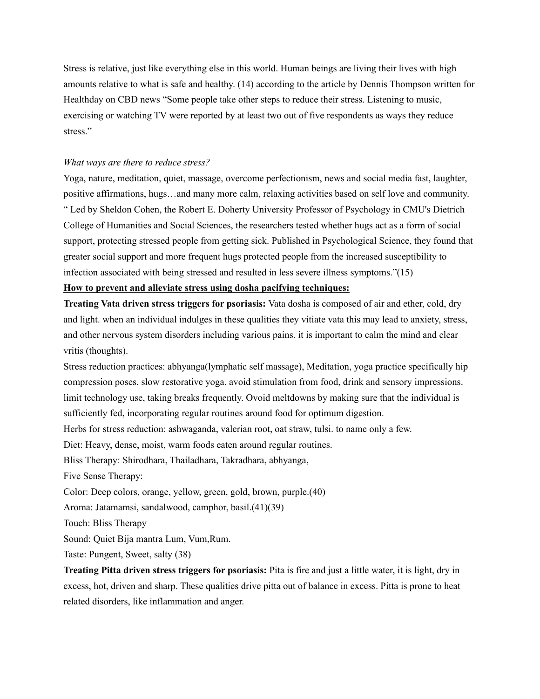Stress is relative, just like everything else in this world. Human beings are living their lives with high amounts relative to what is safe and healthy. (14) according to the article by Dennis Thompson written for Healthday on CBD news "Some people take other steps to reduce their stress. Listening to music, exercising or watching TV were reported by at least two out of five respondents as ways they reduce stress."

### *What ways are there to reduce stress?*

Yoga, nature, meditation, quiet, massage, overcome perfectionism, news and social media fast, laughter, positive affirmations, hugs…and many more calm, relaxing activities based on self love and community. [" Led by](http://www.cmu.edu/dietrich/) [Sheldon Cohen](http://www.psy.cmu.edu/people/cohen.html)[, the Robert E. Doherty University Professor of P](http://www.cmu.edu/dietrich/)[sychology](http://www.psy.cmu.edu/) [in CMU's Dietrich](http://www.cmu.edu/dietrich/)  College of Humanities and Social Sciences, the researchers tested whether hugs act as a form of social support, protecting stressed people from getting sick. Published in Psychological Science, they found that greater social support and more frequent hugs protected people from the increased susceptibility to infection associated with being stressed and resulted in less severe illness symptoms."(15)

## **How to prevent and alleviate stress using dosha pacifying techniques:**

**Treating Vata driven stress triggers for psoriasis:** Vata dosha is composed of air and ether, cold, dry and light. when an individual indulges in these qualities they vitiate vata this may lead to anxiety, stress, and other nervous system disorders including various pains. it is important to calm the mind and clear vritis (thoughts).

Stress reduction practices: abhyanga(lymphatic self massage), Meditation, yoga practice specifically hip compression poses, slow restorative yoga. avoid stimulation from food, drink and sensory impressions. limit technology use, taking breaks frequently. Ovoid meltdowns by making sure that the individual is sufficiently fed, incorporating regular routines around food for optimum digestion.

Herbs for stress reduction: ashwaganda, valerian root, oat straw, tulsi. to name only a few.

Diet: Heavy, dense, moist, warm foods eaten around regular routines.

Bliss Therapy: Shirodhara, Thailadhara, Takradhara, abhyanga,

Five Sense Therapy:

Color: Deep colors, orange, yellow, green, gold, brown, purple.(40)

Aroma: Jatamamsi, sandalwood, camphor, basil.(41)(39)

Touch: Bliss Therapy

Sound: Quiet Bija mantra Lum, Vum,Rum.

Taste: Pungent, Sweet, salty (38)

**Treating Pitta driven stress triggers for psoriasis:** Pita is fire and just a little water, it is light, dry in excess, hot, driven and sharp. These qualities drive pitta out of balance in excess. Pitta is prone to heat related disorders, like inflammation and anger.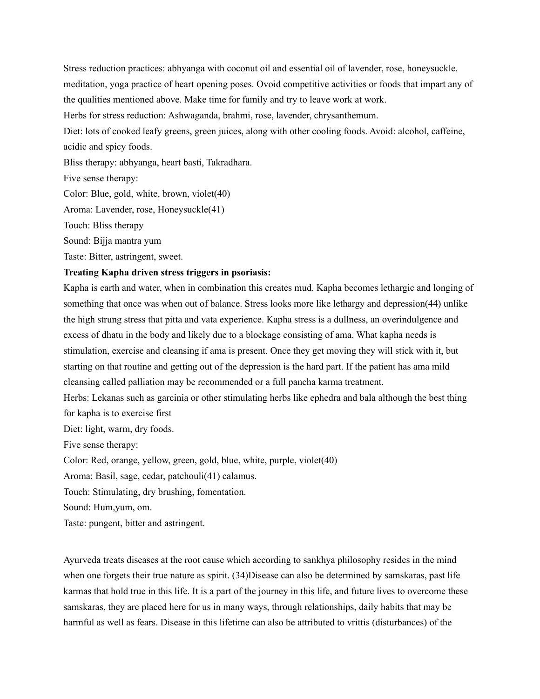Stress reduction practices: abhyanga with coconut oil and essential oil of lavender, rose, honeysuckle. meditation, yoga practice of heart opening poses. Ovoid competitive activities or foods that impart any of the qualities mentioned above. Make time for family and try to leave work at work. Herbs for stress reduction: Ashwaganda, brahmi, rose, lavender, chrysanthemum. Diet: lots of cooked leafy greens, green juices, along with other cooling foods. Avoid: alcohol, caffeine, acidic and spicy foods. Bliss therapy: abhyanga, heart basti, Takradhara. Five sense therapy: Color: Blue, gold, white, brown, violet(40) Aroma: Lavender, rose, Honeysuckle(41) Touch: Bliss therapy

Sound: Bijja mantra yum

Taste: Bitter, astringent, sweet.

### **Treating Kapha driven stress triggers in psoriasis:**

Kapha is earth and water, when in combination this creates mud. Kapha becomes lethargic and longing of something that once was when out of balance. Stress looks more like lethargy and depression(44) unlike the high strung stress that pitta and vata experience. Kapha stress is a dullness, an overindulgence and excess of dhatu in the body and likely due to a blockage consisting of ama. What kapha needs is stimulation, exercise and cleansing if ama is present. Once they get moving they will stick with it, but starting on that routine and getting out of the depression is the hard part. If the patient has ama mild cleansing called palliation may be recommended or a full pancha karma treatment.

Herbs: Lekanas such as garcinia or other stimulating herbs like ephedra and bala although the best thing for kapha is to exercise first

Diet: light, warm, dry foods.

Five sense therapy:

Color: Red, orange, yellow, green, gold, blue, white, purple, violet(40)

Aroma: Basil, sage, cedar, patchouli(41) calamus.

Touch: Stimulating, dry brushing, fomentation.

Sound: Hum,yum, om.

Taste: pungent, bitter and astringent.

Ayurveda treats diseases at the root cause which according to sankhya philosophy resides in the mind when one forgets their true nature as spirit. (34)Disease can also be determined by samskaras, past life karmas that hold true in this life. It is a part of the journey in this life, and future lives to overcome these samskaras, they are placed here for us in many ways, through relationships, daily habits that may be harmful as well as fears. Disease in this lifetime can also be attributed to vrittis (disturbances) of the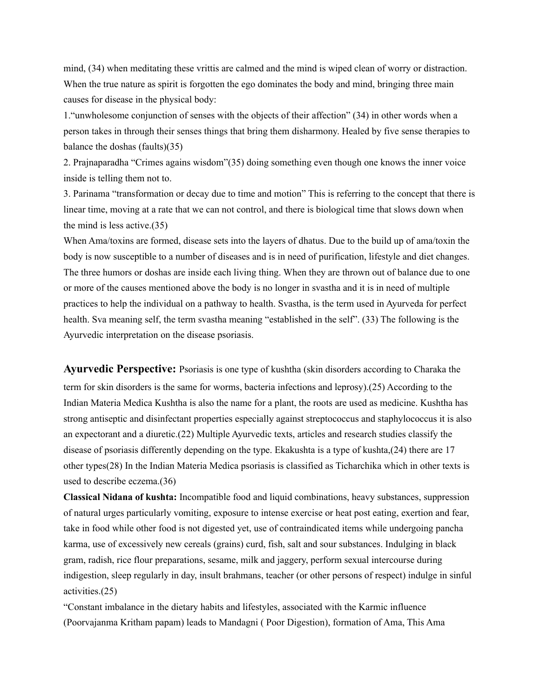mind, (34) when meditating these vrittis are calmed and the mind is wiped clean of worry or distraction. When the true nature as spirit is forgotten the ego dominates the body and mind, bringing three main causes for disease in the physical body:

1."unwholesome conjunction of senses with the objects of their affection" (34) in other words when a person takes in through their senses things that bring them disharmony. Healed by five sense therapies to balance the doshas (faults)(35)

2. Prajnaparadha "Crimes agains wisdom"(35) doing something even though one knows the inner voice inside is telling them not to.

3. Parinama "transformation or decay due to time and motion" This is referring to the concept that there is linear time, moving at a rate that we can not control, and there is biological time that slows down when the mind is less active.(35)

When Ama/toxins are formed, disease sets into the layers of dhatus. Due to the build up of ama/toxin the body is now susceptible to a number of diseases and is in need of purification, lifestyle and diet changes. The three humors or doshas are inside each living thing. When they are thrown out of balance due to one or more of the causes mentioned above the body is no longer in svastha and it is in need of multiple practices to help the individual on a pathway to health. Svastha, is the term used in Ayurveda for perfect health. Sva meaning self, the term svastha meaning "established in the self". (33) The following is the Ayurvedic interpretation on the disease psoriasis.

**Ayurvedic Perspective:** Psoriasis is one type of kushtha (skin disorders according to Charaka the term for skin disorders is the same for worms, bacteria infections and leprosy).(25) According to the Indian Materia Medica Kushtha is also the name for a plant, the roots are used as medicine. Kushtha has strong antiseptic and disinfectant properties especially against streptococcus and staphylococcus it is also an expectorant and a diuretic.(22) Multiple Ayurvedic texts, articles and research studies classify the disease of psoriasis differently depending on the type. Ekakushta is a type of kushta,(24) there are 17 other types(28) In the Indian Materia Medica psoriasis is classified as Ticharchika which in other texts is used to describe eczema.(36)

**Classical Nidana of kushta:** Incompatible food and liquid combinations, heavy substances, suppression of natural urges particularly vomiting, exposure to intense exercise or heat post eating, exertion and fear, take in food while other food is not digested yet, use of contraindicated items while undergoing pancha karma, use of excessively new cereals (grains) curd, fish, salt and sour substances. Indulging in black gram, radish, rice flour preparations, sesame, milk and jaggery, perform sexual intercourse during indigestion, sleep regularly in day, insult brahmans, teacher (or other persons of respect) indulge in sinful activities.(25)

"Constant imbalance in the dietary habits and lifestyles, associated with the Karmic influence (Poorvajanma Kritham papam) leads to Mandagni ( Poor Digestion), formation of Ama, This Ama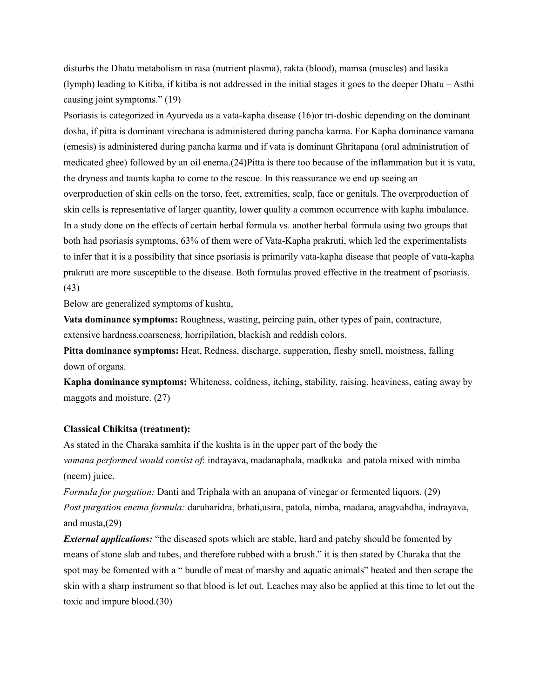disturbs the Dhatu metabolism in rasa (nutrient plasma), rakta (blood), mamsa (muscles) and lasika (lymph) leading to Kitiba, if kitiba is not addressed in the initial stages it goes to the deeper Dhatu – Asthi causing joint symptoms." (19)

Psoriasis is categorized in Ayurveda as a vata-kapha disease (16)or tri-doshic depending on the dominant dosha, if pitta is dominant virechana is administered during pancha karma. For Kapha dominance vamana (emesis) is administered during pancha karma and if vata is dominant Ghritapana (oral administration of medicated ghee) followed by an oil enema.(24)Pitta is there too because of the inflammation but it is vata, the dryness and taunts kapha to come to the rescue. In this reassurance we end up seeing an overproduction of skin cells on the torso, feet, extremities, scalp, face or genitals. The overproduction of skin cells is representative of larger quantity, lower quality a common occurrence with kapha imbalance. In a study done on the effects of certain herbal formula vs. another herbal formula using two groups that both had psoriasis symptoms, 63% of them were of Vata-Kapha prakruti, which led the experimentalists to infer that it is a possibility that since psoriasis is primarily vata-kapha disease that people of vata-kapha prakruti are more susceptible to the disease. Both formulas proved effective in the treatment of psoriasis. (43)

Below are generalized symptoms of kushta,

**Vata dominance symptoms:** Roughness, wasting, peircing pain, other types of pain, contracture, extensive hardness,coarseness, horripilation, blackish and reddish colors.

**Pitta dominance symptoms:** Heat, Redness, discharge, supperation, fleshy smell, moistness, falling down of organs.

**Kapha dominance symptoms:** Whiteness, coldness, itching, stability, raising, heaviness, eating away by maggots and moisture. (27)

## **Classical Chikitsa (treatment):**

As stated in the Charaka samhita if the kushta is in the upper part of the body the *vamana performed would consist of*: indrayava, madanaphala, madkuka and patola mixed with nimba (neem) juice.

*Formula for purgation:* Danti and Triphala with an anupana of vinegar or fermented liquors. (29) *Post purgation enema formula:* daruharidra, brhati,usira, patola, nimba, madana, aragvahdha, indrayava, and musta,(29)

*External applications:* "the diseased spots which are stable, hard and patchy should be fomented by means of stone slab and tubes, and therefore rubbed with a brush." it is then stated by Charaka that the spot may be fomented with a " bundle of meat of marshy and aquatic animals" heated and then scrape the skin with a sharp instrument so that blood is let out. Leaches may also be applied at this time to let out the toxic and impure blood.(30)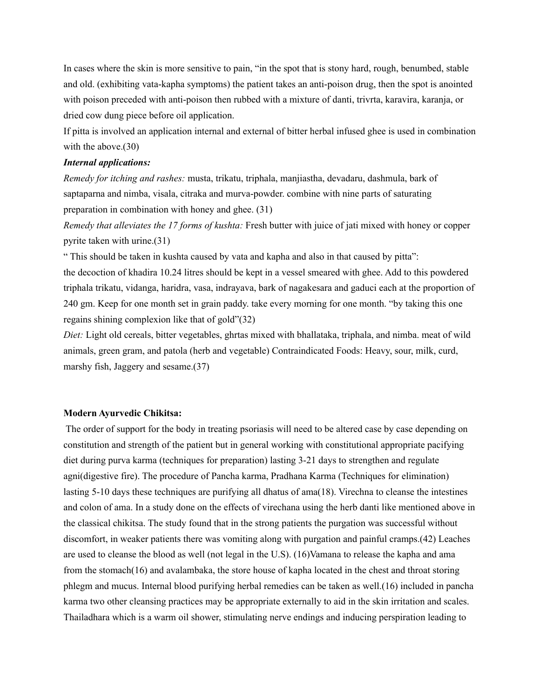In cases where the skin is more sensitive to pain, "in the spot that is stony hard, rough, benumbed, stable and old. (exhibiting vata-kapha symptoms) the patient takes an anti-poison drug, then the spot is anointed with poison preceded with anti-poison then rubbed with a mixture of danti, trivrta, karavira, karanja, or dried cow dung piece before oil application.

If pitta is involved an application internal and external of bitter herbal infused ghee is used in combination with the above.(30)

#### *Internal applications:*

*Remedy for itching and rashes:* musta, trikatu, triphala, manjiastha, devadaru, dashmula, bark of saptaparna and nimba, visala, citraka and murva-powder. combine with nine parts of saturating preparation in combination with honey and ghee. (31)

*Remedy that alleviates the 17 forms of kushta:* Fresh butter with juice of jati mixed with honey or copper pyrite taken with urine.(31)

" This should be taken in kushta caused by vata and kapha and also in that caused by pitta":

the decoction of khadira 10.24 litres should be kept in a vessel smeared with ghee. Add to this powdered triphala trikatu, vidanga, haridra, vasa, indrayava, bark of nagakesara and gaduci each at the proportion of 240 gm. Keep for one month set in grain paddy. take every morning for one month. "by taking this one regains shining complexion like that of gold"(32)

*Diet:* Light old cereals, bitter vegetables, ghrtas mixed with bhallataka, triphala, and nimba. meat of wild animals, green gram, and patola (herb and vegetable) Contraindicated Foods: Heavy, sour, milk, curd, marshy fish, Jaggery and sesame.(37)

## **Modern Ayurvedic Chikitsa:**

 The order of support for the body in treating psoriasis will need to be altered case by case depending on constitution and strength of the patient but in general working with constitutional appropriate pacifying diet during purva karma (techniques for preparation) lasting 3-21 days to strengthen and regulate agni(digestive fire). The procedure of Pancha karma, Pradhana Karma (Techniques for elimination) lasting 5-10 days these techniques are purifying all dhatus of ama(18). Virechna to cleanse the intestines and colon of ama. In a study done on the effects of virechana using the herb danti like mentioned above in the classical chikitsa. The study found that in the strong patients the purgation was successful without discomfort, in weaker patients there was vomiting along with purgation and painful cramps.(42) Leaches are used to cleanse the blood as well (not legal in the U.S). (16)Vamana to release the kapha and ama from the stomach(16) and avalambaka, the store house of kapha located in the chest and throat storing phlegm and mucus. Internal blood purifying herbal remedies can be taken as well.(16) included in pancha karma two other cleansing practices may be appropriate externally to aid in the skin irritation and scales. Thailadhara which is a warm oil shower, stimulating nerve endings and inducing perspiration leading to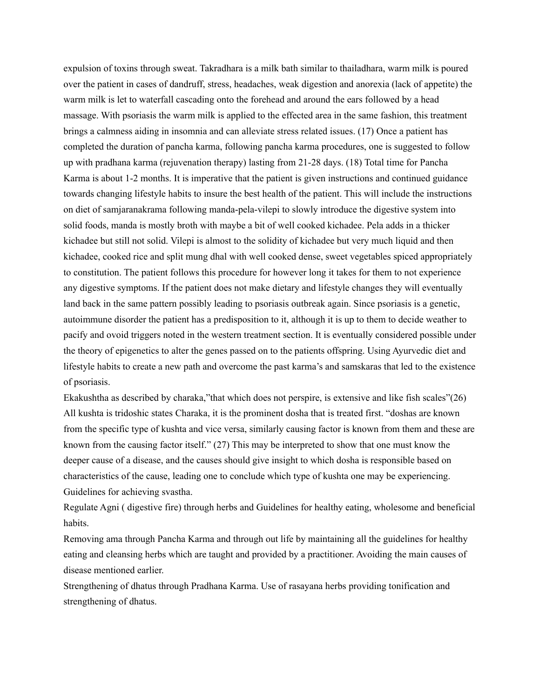expulsion of toxins through sweat. Takradhara is a milk bath similar to thailadhara, warm milk is poured over the patient in cases of dandruff, stress, headaches, weak digestion and anorexia (lack of appetite) the warm milk is let to waterfall cascading onto the forehead and around the ears followed by a head massage. With psoriasis the warm milk is applied to the effected area in the same fashion, this treatment brings a calmness aiding in insomnia and can alleviate stress related issues. (17) Once a patient has completed the duration of pancha karma, following pancha karma procedures, one is suggested to follow up with pradhana karma (rejuvenation therapy) lasting from 21-28 days. (18) Total time for Pancha Karma is about 1-2 months. It is imperative that the patient is given instructions and continued guidance towards changing lifestyle habits to insure the best health of the patient. This will include the instructions on diet of samjaranakrama following manda-pela-vilepi to slowly introduce the digestive system into solid foods, manda is mostly broth with maybe a bit of well cooked kichadee. Pela adds in a thicker kichadee but still not solid. Vilepi is almost to the solidity of kichadee but very much liquid and then kichadee, cooked rice and split mung dhal with well cooked dense, sweet vegetables spiced appropriately to constitution. The patient follows this procedure for however long it takes for them to not experience any digestive symptoms. If the patient does not make dietary and lifestyle changes they will eventually land back in the same pattern possibly leading to psoriasis outbreak again. Since psoriasis is a genetic, autoimmune disorder the patient has a predisposition to it, although it is up to them to decide weather to pacify and ovoid triggers noted in the western treatment section. It is eventually considered possible under the theory of epigenetics to alter the genes passed on to the patients offspring. Using Ayurvedic diet and lifestyle habits to create a new path and overcome the past karma's and samskaras that led to the existence of psoriasis.

Ekakushtha as described by charaka,"that which does not perspire, is extensive and like fish scales"(26) All kushta is tridoshic states Charaka, it is the prominent dosha that is treated first. "doshas are known from the specific type of kushta and vice versa, similarly causing factor is known from them and these are known from the causing factor itself." (27) This may be interpreted to show that one must know the deeper cause of a disease, and the causes should give insight to which dosha is responsible based on characteristics of the cause, leading one to conclude which type of kushta one may be experiencing. Guidelines for achieving svastha.

Regulate Agni ( digestive fire) through herbs and Guidelines for healthy eating, wholesome and beneficial habits.

Removing ama through Pancha Karma and through out life by maintaining all the guidelines for healthy eating and cleansing herbs which are taught and provided by a practitioner. Avoiding the main causes of disease mentioned earlier.

Strengthening of dhatus through Pradhana Karma. Use of rasayana herbs providing tonification and strengthening of dhatus.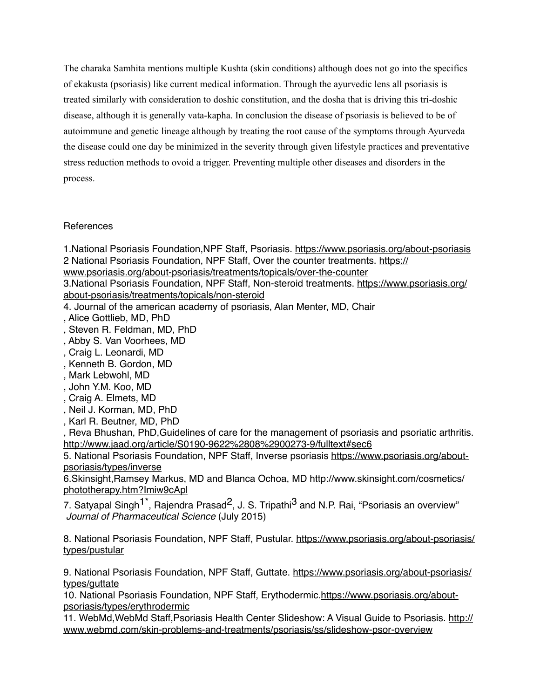The charaka Samhita mentions multiple Kushta (skin conditions) although does not go into the specifics of ekakusta (psoriasis) like current medical information. Through the ayurvedic lens all psoriasis is treated similarly with consideration to doshic constitution, and the dosha that is driving this tri-doshic disease, although it is generally vata-kapha. In conclusion the disease of psoriasis is believed to be of autoimmune and genetic lineage although by treating the root cause of the symptoms through Ayurveda the disease could one day be minimized in the severity through given lifestyle practices and preventative stress reduction methods to ovoid a trigger. Preventing multiple other diseases and disorders in the process.

# References

1.National Psoriasis Foundation,NPF Staff, Psoriasis. <https://www.psoriasis.org/about-psoriasis> [2 National Psoriasis Foundation, NPF Staff, Over the counter treatments. https://](https://www.psoriasis.org/about-psoriasis/treatments/topicals/over-the-counter)

www.psoriasis.org/about-psoriasis/treatments/topicals/over-the-counter

[3.National Psoriasis Foundation, NPF Staff, Non-steroid treatments. https://www.psoriasis.org/](https://www.psoriasis.org/about-psoriasis/treatments/topicals/non-steroid) about-psoriasis/treatments/topicals/non-steroid

4. Journal of the american academy of psoriasis, Alan Menter, MD, Chair

- , Alice Gottlieb, MD, PhD
- , Steven R. Feldman, MD, PhD
- , Abby S. Van Voorhees, MD
- , Craig L. Leonardi, MD
- , Kenneth B. Gordon, MD
- , Mark Lebwohl, MD
- , John Y.M. Koo, MD
- , Craig A. Elmets, MD
- , Neil J. Korman, MD, PhD
- , Karl R. Beutner, MD, PhD

, Reva Bhushan, PhD,Guidelines of care for the management of psoriasis and psoriatic arthritis. <http://www.jaad.org/article/S0190-9622%2808%2900273-9/fulltext#sec6>

[5. National Psoriasis Foundation, NPF Staff, Inverse psoriasis https://www.psoriasis.org/about](https://www.psoriasis.org/about-psoriasis/types/inverse)psoriasis/types/inverse

[6.Skinsight,Ramsey Markus, MD and Blanca Ochoa, MD http://www.skinsight.com/cosmetics/](http://www.skinsight.com/cosmetics/phototherapy.htm?Imiw9cApl) phototherapy.htm?Imiw9cApl

7. Satyapal Singh<sup>1\*</sup>, Rajendra Prasad<sup>2</sup>, J. S. Tripathi<sup>3</sup> and N.P. Rai, "Psoriasis an overview" *Journal of Pharmaceutical Science* (July 2015)

[8. National Psoriasis Foundation, NPF Staff, Pustular. https://www.psoriasis.org/about-psoriasis/](https://www.psoriasis.org/about-psoriasis/types/pustular) types/pustular

[9. National Psoriasis Foundation, NPF Staff, Guttate. https://www.psoriasis.org/about-psoriasis/](https://www.psoriasis.org/about-psoriasis/types/guttate) types/guttate

[10. National Psoriasis Foundation, NPF Staff, Erythodermic.https://www.psoriasis.org/about](https://www.psoriasis.org/about-psoriasis/types/erythrodermic)psoriasis/types/erythrodermic

[11. WebMd,WebMd Staff,Psoriasis Health Center Slideshow: A Visual Guide to Psoriasis. http://](http://www.webmd.com/skin-problems-and-treatments/psoriasis/ss/slideshow-psor-overview) www.webmd.com/skin-problems-and-treatments/psoriasis/ss/slideshow-psor-overview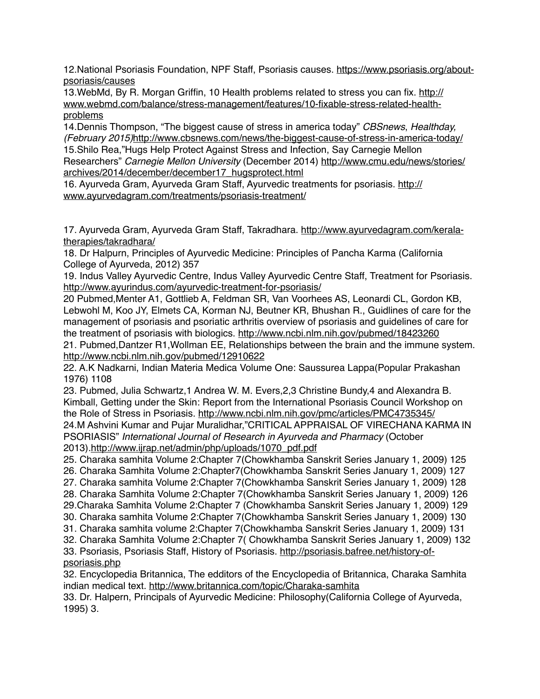[12.National Psoriasis Foundation, NPF Staff, Psoriasis causes. https://www.psoriasis.org/about](https://www.psoriasis.org/about-psoriasis/causes)psoriasis/causes

13. WebMd, By R. Morgan Griffin, 10 Health problems related to stress you can fix. http:// www.webmd.com/balance/stress-management/features/10-fixable-stress-related-healthproblems

14.Dennis Thompson, "The biggest cause of stress in america today" *CBSnews*, *Healthday, (February 2015)*<http://www.cbsnews.com/news/the-biggest-cause-of-stress-in-america-today/> 15.Shilo Rea,"Hugs Help Protect Against Stress and Infection, Say Carnegie Mellon Researchers" *Carnegie Mellon University* (December 2014) http://www.cmu.edu/news/stories/ [archives/2014/december/december17\\_hugsprotect.html](http://www.cmu.edu/news/stories/archives/2014/december/december17_hugsprotect.html)

[16. Ayurveda Gram, Ayurveda Gram Staff, Ayurvedic treatments for psoriasis. http://](http://www.ayurvedagram.com/treatments/psoriasis-treatment/) www.ayurvedagram.com/treatments/psoriasis-treatment/

[17. Ayurveda Gram, Ayurveda Gram Staff, Takradhara. http://www.ayurvedagram.com/kerala](http://www.ayurvedagram.com/kerala-therapies/takradhara/)therapies/takradhara/

18. Dr Halpurn, Principles of Ayurvedic Medicine: Principles of Pancha Karma (California College of Ayurveda, 2012) 357

19. Indus Valley Ayurvedic Centre, Indus Valley Ayurvedic Centre Staff, Treatment for Psoriasis. <http://www.ayurindus.com/ayurvedic-treatment-for-psoriasis/>

20 Pubmed,Menter A1, Gottlieb A, Feldman SR, Van Voorhees AS, Leonardi CL, Gordon KB, Lebwohl M, Koo JY, Elmets CA, Korman NJ, Beutner KR, Bhushan R., Guidlines of care for the management of psoriasis and psoriatic arthritis overview of psoriasis and guidelines of care for the treatment of psoriasis with biologics.<http://www.ncbi.nlm.nih.gov/pubmed/18423260>

21. Pubmed,Dantzer R1,Wollman EE, Relationships between the brain and the immune system. <http://www.ncbi.nlm.nih.gov/pubmed/12910622>

22. A.K Nadkarni, Indian Materia Medica Volume One: Saussurea Lappa(Popular Prakashan 1976) 1108

23. Pubmed, Julia Schwartz,1 Andrea W. M. Evers,2,3 Christine Bundy,4 and Alexandra B. Kimball, Getting under the Skin: Report from the International Psoriasis Council Workshop on the Role of Stress in Psoriasis. <http://www.ncbi.nlm.nih.gov/pmc/articles/PMC4735345/> 24.M Ashvini Kumar and Pujar Muralidhar,"CRITICAL APPRAISAL OF VIRECHANA KARMA IN PSORIASIS" *International Journal of Research in Ayurveda and Pharmacy* (October 2013)*.*[http://www.ijrap.net/admin/php/uploads/1070\\_pdf.pdf](http://www.ijrap.net/admin/php/uploads/1070_pdf.pdf)

25. Charaka samhita Volume 2:Chapter 7(Chowkhamba Sanskrit Series January 1, 2009) 125

26. Charaka Samhita Volume 2:Chapter7(Chowkhamba Sanskrit Series January 1, 2009) 127

27. Charaka samhita Volume 2:Chapter 7(Chowkhamba Sanskrit Series January 1, 2009) 128

28. Charaka Samhita Volume 2:Chapter 7(Chowkhamba Sanskrit Series January 1, 2009) 126

29.Charaka Samhita Volume 2:Chapter 7 (Chowkhamba Sanskrit Series January 1, 2009) 129

30. Charaka samhita Volume 2:Chapter 7(Chowkhamba Sanskrit Series January 1, 2009) 130

31. Charaka samhita volume 2:Chapter 7(Chowkhamba Sanskrit Series January 1, 2009) 131

32. Charaka Samhita Volume 2:Chapter 7( Chowkhamba Sanskrit Series January 1, 2009) 132 [33. Psoriasis, Psoriasis Staff, History of Psoriasis. http://psoriasis.bafree.net/history-of-](http://psoriasis.bafree.net/history-of-psoriasis.php)

psoriasis.php

32. Encyclopedia Britannica, The edditors of the Encyclopedia of Britannica, Charaka Samhita indian medical text.<http://www.britannica.com/topic/Charaka-samhita>

33. Dr. Halpern, Principals of Ayurvedic Medicine: Philosophy(California College of Ayurveda, 1995) 3.